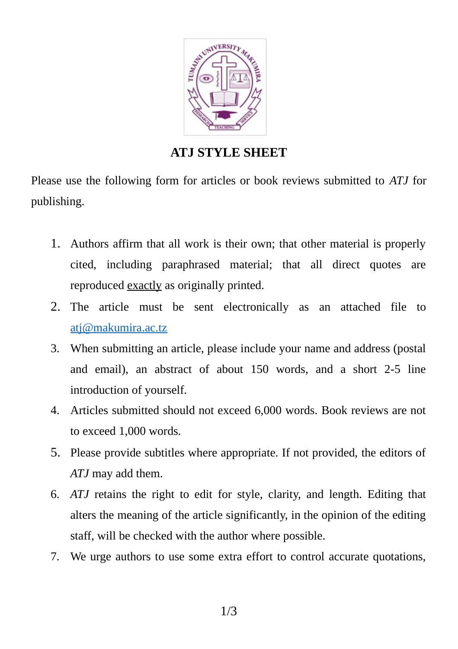

## **ATJ STYLE SHEET**

Please use the following form for articles or book reviews submitted to *ATJ* for publishing.

- 1. Authors affirm that all work is their own; that other material is properly cited, including paraphrased material; that all direct quotes are reproduced exactly as originally printed.
- 2. The article must be sent electronically as an attached file to [atj@makumira.ac.tz](mailto:atj@makumira.ac.tz)
- 3. When submitting an article, please include your name and address (postal and email), an abstract of about 150 words, and a short 2-5 line introduction of yourself.
- 4. Articles submitted should not exceed 6,000 words. Book reviews are not to exceed 1,000 words.
- 5. Please provide subtitles where appropriate. If not provided, the editors of *ATJ* may add them.
- 6. *ATJ* retains the right to edit for style, clarity, and length. Editing that alters the meaning of the article significantly, in the opinion of the editing staff, will be checked with the author where possible.
- 7. We urge authors to use some extra effort to control accurate quotations,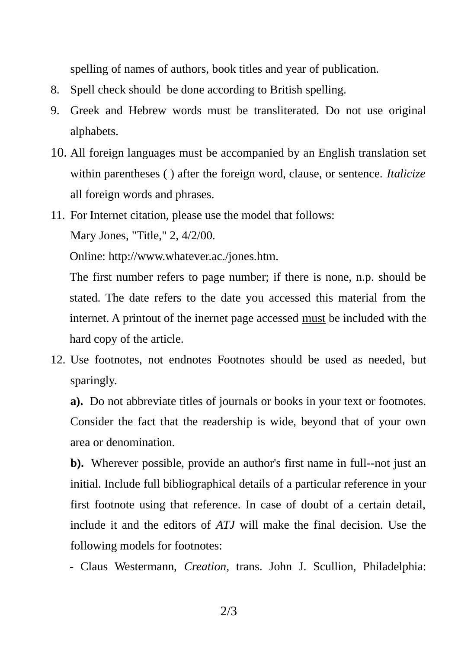spelling of names of authors, book titles and year of publication.

- 8. Spell check should be done according to British spelling.
- 9. Greek and Hebrew words must be transliterated. Do not use original alphabets.
- 10. All foreign languages must be accompanied by an English translation set within parentheses ( ) after the foreign word, clause, or sentence. *Italicize* all foreign words and phrases.
- 11. For Internet citation, please use the model that follows:

Mary Jones, "Title," 2, 4/2/00.

Online: http://www.whatever.ac./jones.htm.

The first number refers to page number; if there is none, n.p. should be stated. The date refers to the date you accessed this material from the internet. A printout of the inernet page accessed must be included with the hard copy of the article.

12. Use footnotes, not endnotes Footnotes should be used as needed, but sparingly.

**a).** Do not abbreviate titles of journals or books in your text or footnotes. Consider the fact that the readership is wide, beyond that of your own area or denomination.

**b).** Wherever possible, provide an author's first name in full--not just an initial. Include full bibliographical details of a particular reference in your first footnote using that reference. In case of doubt of a certain detail, include it and the editors of *ATJ* will make the final decision. Use the following models for footnotes:

- Claus Westermann, *Creation*, trans. John J. Scullion, Philadelphia: